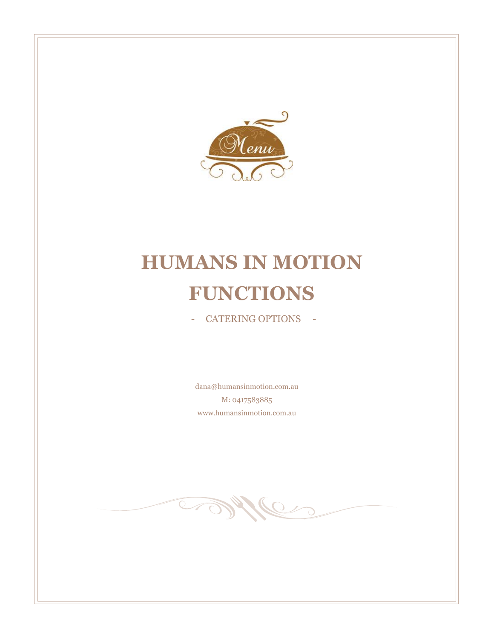

# **HUMANS IN MOTION FUNCTIONS**

- CATERING OPTIONS -

dana@humansinmotion.com.au M: 0417583885 www.humansinmotion.com.au

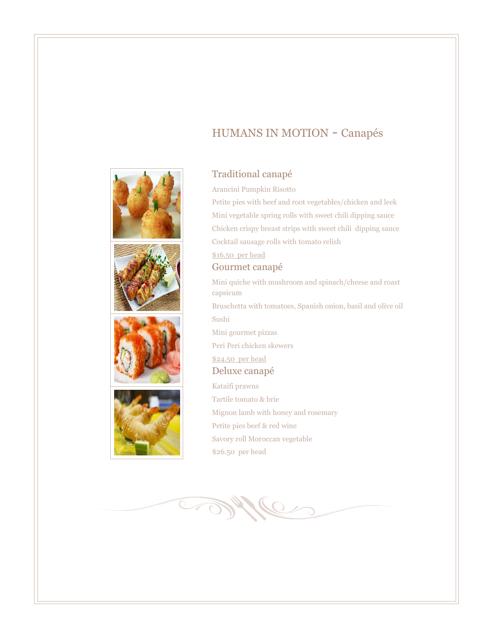# HUMANS IN MOTION - Canapés



## Traditional canapé

Arancini Pumpkin Risotto

Petite pies with beef and root vegetables/chicken and leek Mini vegetable spring rolls with sweet chili dipping sauce Chicken crispy breast strips with sweet chili dipping sauce Cocktail sausage rolls with tomato relish \$16.50 per head

Gourmet canapé

Mini quiche with mushroom and spinach/cheese and roast capsicum Bruschetta with tomatoes, Spanish onion, basil and olive oil Sushi Mini gourmet pizzas Peri Peri chicken skewers \$24.50 per head

Deluxe canapé Kataifi prawns Tartile tomato & brie Mignon lamb with honey and rosemary Petite pies beef & red wine

Savory roll Moroccan vegetable

\$26.50 per head

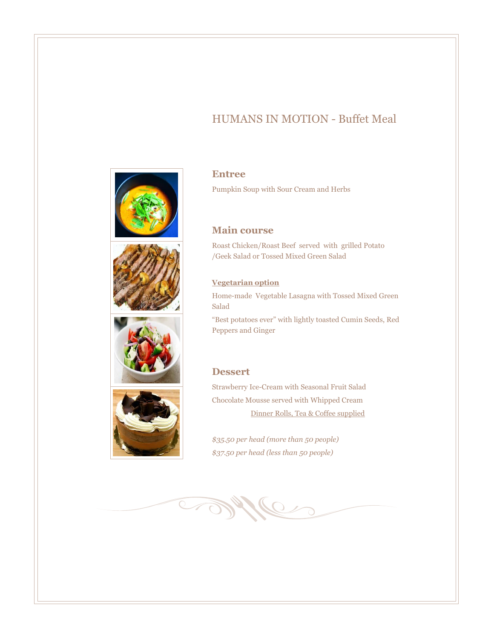# HUMANS IN MOTION - Buffet Meal









#### **Entree**

Pumpkin Soup with Sour Cream and Herbs

#### **Main course**

Roast Chicken/Roast Beef served with grilled Potato /Geek Salad or Tossed Mixed Green Salad

#### **Vegetarian option**

Home-made Vegetable Lasagna with Tossed Mixed Green Salad

"Best potatoes ever" with lightly toasted Cumin Seeds, Red Peppers and Ginger

#### **Dessert**

Strawberry Ice-Cream with Seasonal Fruit Salad Chocolate Mousse served with Whipped Cream Dinner Rolls, Tea & Coffee supplied

*\$35.50 per head (more than 50 people) \$37.50 per head (less than 50 people)*